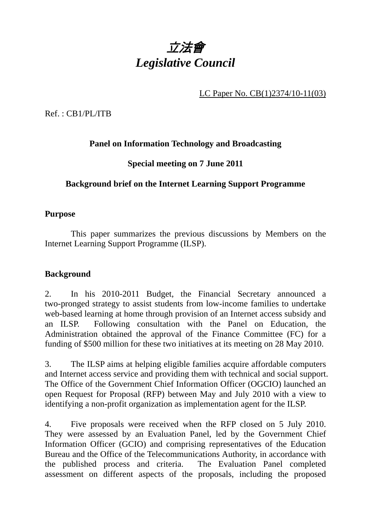

LC Paper No. CB(1)2374/10-11(03)

Ref. : CB1/PL/ITB

## **Panel on Information Technology and Broadcasting**

## **Special meeting on 7 June 2011**

#### **Background brief on the Internet Learning Support Programme**

#### **Purpose**

 This paper summarizes the previous discussions by Members on the Internet Learning Support Programme (ILSP).

#### **Background**

2. In his 2010-2011 Budget, the Financial Secretary announced a two-pronged strategy to assist students from low-income families to undertake web-based learning at home through provision of an Internet access subsidy and an ILSP. Following consultation with the Panel on Education, the Administration obtained the approval of the Finance Committee (FC) for a funding of \$500 million for these two initiatives at its meeting on 28 May 2010.

3. The ILSP aims at helping eligible families acquire affordable computers and Internet access service and providing them with technical and social support. The Office of the Government Chief Information Officer (OGCIO) launched an open Request for Proposal (RFP) between May and July 2010 with a view to identifying a non-profit organization as implementation agent for the ILSP.

4. Five proposals were received when the RFP closed on 5 July 2010. They were assessed by an Evaluation Panel, led by the Government Chief Information Officer (GCIO) and comprising representatives of the Education Bureau and the Office of the Telecommunications Authority, in accordance with the published process and criteria. The Evaluation Panel completed assessment on different aspects of the proposals, including the proposed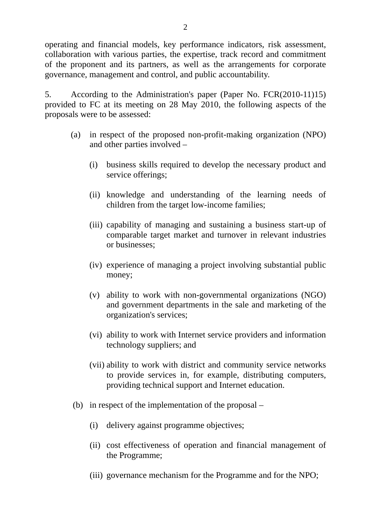operating and financial models, key performance indicators, risk assessment, collaboration with various parties, the expertise, track record and commitment of the proponent and its partners, as well as the arrangements for corporate governance, management and control, and public accountability.

5. According to the Administration's paper (Paper No. FCR(2010-11)15) provided to FC at its meeting on 28 May 2010, the following aspects of the proposals were to be assessed:

- (a) in respect of the proposed non-profit-making organization (NPO) and other parties involved –
	- (i) business skills required to develop the necessary product and service offerings:
	- (ii) knowledge and understanding of the learning needs of children from the target low-income families;
	- (iii) capability of managing and sustaining a business start-up of comparable target market and turnover in relevant industries or businesses;
	- (iv) experience of managing a project involving substantial public money;
	- (v) ability to work with non-governmental organizations (NGO) and government departments in the sale and marketing of the organization's services;
	- (vi) ability to work with Internet service providers and information technology suppliers; and
	- (vii) ability to work with district and community service networks to provide services in, for example, distributing computers, providing technical support and Internet education.
- (b) in respect of the implementation of the proposal
	- (i) delivery against programme objectives;
	- (ii) cost effectiveness of operation and financial management of the Programme;
	- (iii) governance mechanism for the Programme and for the NPO;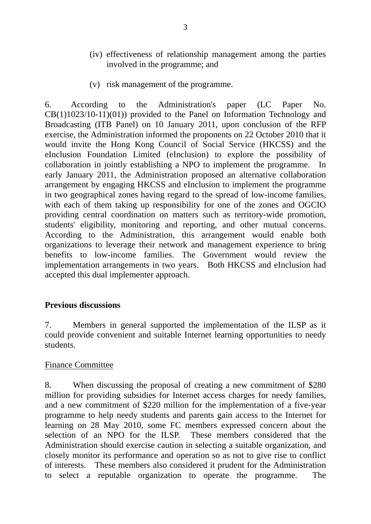- (iv) effectiveness of relationship management among the parties involved in the programme; and
- (v) risk management of the programme.

6. According to the Administration's paper (LC Paper No. CB(1)1023/10-11)(01)) provided to the Panel on Information Technology and Broadcasting (ITB Panel) on 10 January 2011, upon conclusion of the RFP exercise, the Administration informed the proponents on 22 October 2010 that it would invite the Hong Kong Council of Social Service (HKCSS) and the eInclusion Foundation Limited (eInclusion) to explore the possibility of collaboration in jointly establishing a NPO to implement the programme. In early January 2011, the Administration proposed an alternative collaboration arrangement by engaging HKCSS and eInclusion to implement the programme in two geographical zones having regard to the spread of low-income families, with each of them taking up responsibility for one of the zones and OGCIO providing central coordination on matters such as territory-wide promotion, students' eligibility, monitoring and reporting, and other mutual concerns. According to the Administration, this arrangement would enable both organizations to leverage their network and management experience to bring benefits to low-income families. The Government would review the implementation arrangements in two years. Both HKCSS and eInclusion had accepted this dual implementer approach.

#### **Previous discussions**

7. Members in general supported the implementation of the ILSP as it could provide convenient and suitable Internet learning opportunities to needy students.

#### Finance Committee

8. When discussing the proposal of creating a new commitment of \$280 million for providing subsidies for Internet access charges for needy families, and a new commitment of \$220 million for the implementation of a five-year programme to help needy students and parents gain access to the Internet for learning on 28 May 2010, some FC members expressed concern about the selection of an NPO for the ILSP. These members considered that the Administration should exercise caution in selecting a suitable organization, and closely monitor its performance and operation so as not to give rise to conflict of interests. These members also considered it prudent for the Administration to select a reputable organization to operate the programme. The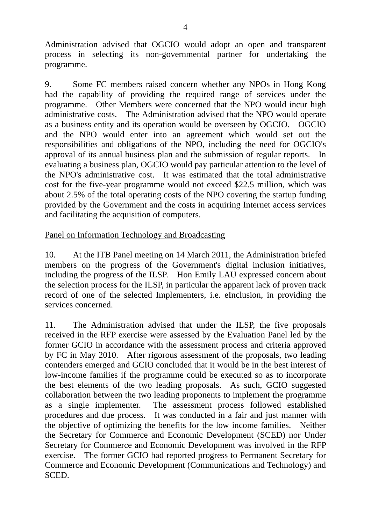Administration advised that OGCIO would adopt an open and transparent process in selecting its non-governmental partner for undertaking the programme.

9. Some FC members raised concern whether any NPOs in Hong Kong had the capability of providing the required range of services under the programme. Other Members were concerned that the NPO would incur high administrative costs. The Administration advised that the NPO would operate as a business entity and its operation would be overseen by OGCIO. OGCIO and the NPO would enter into an agreement which would set out the responsibilities and obligations of the NPO, including the need for OGCIO's approval of its annual business plan and the submission of regular reports. In evaluating a business plan, OGCIO would pay particular attention to the level of the NPO's administrative cost. It was estimated that the total administrative cost for the five-year programme would not exceed \$22.5 million, which was about 2.5% of the total operating costs of the NPO covering the startup funding provided by the Government and the costs in acquiring Internet access services and facilitating the acquisition of computers.

#### Panel on Information Technology and Broadcasting

10. At the ITB Panel meeting on 14 March 2011, the Administration briefed members on the progress of the Government's digital inclusion initiatives, including the progress of the ILSP. Hon Emily LAU expressed concern about the selection process for the ILSP, in particular the apparent lack of proven track record of one of the selected Implementers, i.e. eInclusion, in providing the services concerned.

11. The Administration advised that under the ILSP, the five proposals received in the RFP exercise were assessed by the Evaluation Panel led by the former GCIO in accordance with the assessment process and criteria approved by FC in May 2010. After rigorous assessment of the proposals, two leading contenders emerged and GCIO concluded that it would be in the best interest of low-income families if the programme could be executed so as to incorporate the best elements of the two leading proposals. As such, GCIO suggested collaboration between the two leading proponents to implement the programme as a single implementer. The assessment process followed established procedures and due process. It was conducted in a fair and just manner with the objective of optimizing the benefits for the low income families. Neither the Secretary for Commerce and Economic Development (SCED) nor Under Secretary for Commerce and Economic Development was involved in the RFP exercise. The former GCIO had reported progress to Permanent Secretary for Commerce and Economic Development (Communications and Technology) and SCED.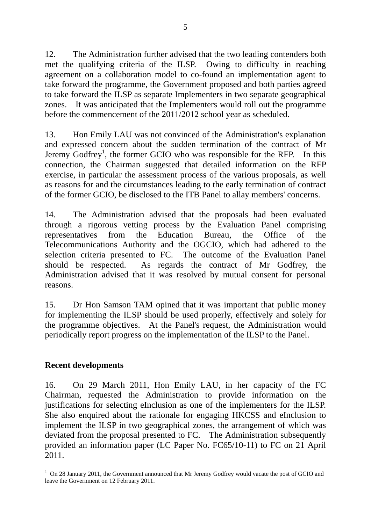12. The Administration further advised that the two leading contenders both met the qualifying criteria of the ILSP. Owing to difficulty in reaching agreement on a collaboration model to co-found an implementation agent to take forward the programme, the Government proposed and both parties agreed to take forward the ILSP as separate Implementers in two separate geographical zones. It was anticipated that the Implementers would roll out the programme before the commencement of the 2011/2012 school year as scheduled.

13. Hon Emily LAU was not convinced of the Administration's explanation and expressed concern about the sudden termination of the contract of Mr Jeremy  $Godfrey<sup>1</sup>$ , the former GCIO who was responsible for the RFP. In this connection, the Chairman suggested that detailed information on the RFP exercise, in particular the assessment process of the various proposals, as well as reasons for and the circumstances leading to the early termination of contract of the former GCIO, be disclosed to the ITB Panel to allay members' concerns.

14. The Administration advised that the proposals had been evaluated through a rigorous vetting process by the Evaluation Panel comprising representatives from the Education Bureau, the Office of the Telecommunications Authority and the OGCIO, which had adhered to the selection criteria presented to FC. The outcome of the Evaluation Panel should be respected. As regards the contract of Mr Godfrey, the Administration advised that it was resolved by mutual consent for personal reasons.

15. Dr Hon Samson TAM opined that it was important that public money for implementing the ILSP should be used properly, effectively and solely for the programme objectives. At the Panel's request, the Administration would periodically report progress on the implementation of the ILSP to the Panel.

#### **Recent developments**

16. On 29 March 2011, Hon Emily LAU, in her capacity of the FC Chairman, requested the Administration to provide information on the justifications for selecting eInclusion as one of the implementers for the ILSP. She also enquired about the rationale for engaging HKCSS and eInclusion to implement the ILSP in two geographical zones, the arrangement of which was deviated from the proposal presented to FC. The Administration subsequently provided an information paper (LC Paper No. FC65/10-11) to FC on 21 April 2011.

<sup>1</sup> <sup>1</sup> On 28 January 2011, the Government announced that Mr Jeremy Godfrey would vacate the post of GCIO and leave the Government on 12 February 2011.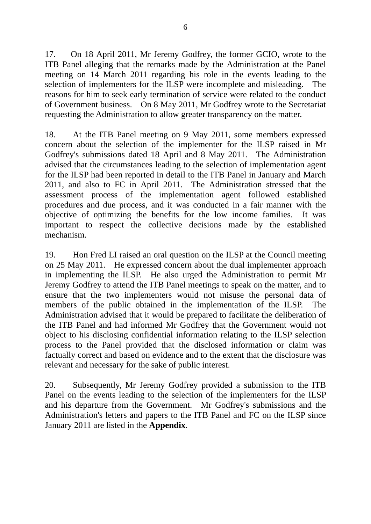17. On 18 April 2011, Mr Jeremy Godfrey, the former GCIO, wrote to the ITB Panel alleging that the remarks made by the Administration at the Panel meeting on 14 March 2011 regarding his role in the events leading to the selection of implementers for the ILSP were incomplete and misleading. The reasons for him to seek early termination of service were related to the conduct of Government business. On 8 May 2011, Mr Godfrey wrote to the Secretariat requesting the Administration to allow greater transparency on the matter.

18. At the ITB Panel meeting on 9 May 2011, some members expressed concern about the selection of the implementer for the ILSP raised in Mr Godfrey's submissions dated 18 April and 8 May 2011. The Administration advised that the circumstances leading to the selection of implementation agent for the ILSP had been reported in detail to the ITB Panel in January and March 2011, and also to FC in April 2011. The Administration stressed that the assessment process of the implementation agent followed established procedures and due process, and it was conducted in a fair manner with the objective of optimizing the benefits for the low income families. It was important to respect the collective decisions made by the established mechanism.

19. Hon Fred LI raised an oral question on the ILSP at the Council meeting on 25 May 2011. He expressed concern about the dual implementer approach in implementing the ILSP. He also urged the Administration to permit Mr Jeremy Godfrey to attend the ITB Panel meetings to speak on the matter, and to ensure that the two implementers would not misuse the personal data of members of the public obtained in the implementation of the ILSP. The Administration advised that it would be prepared to facilitate the deliberation of the ITB Panel and had informed Mr Godfrey that the Government would not object to his disclosing confidential information relating to the ILSP selection process to the Panel provided that the disclosed information or claim was factually correct and based on evidence and to the extent that the disclosure was relevant and necessary for the sake of public interest.

20. Subsequently, Mr Jeremy Godfrey provided a submission to the ITB Panel on the events leading to the selection of the implementers for the ILSP and his departure from the Government. Mr Godfrey's submissions and the Administration's letters and papers to the ITB Panel and FC on the ILSP since January 2011 are listed in the **Appendix**.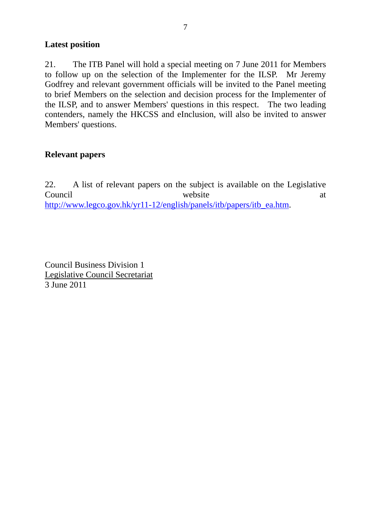#### **Latest position**

21. The ITB Panel will hold a special meeting on 7 June 2011 for Members to follow up on the selection of the Implementer for the ILSP. Mr Jeremy Godfrey and relevant government officials will be invited to the Panel meeting to brief Members on the selection and decision process for the Implementer of the ILSP, and to answer Members' questions in this respect. The two leading contenders, namely the HKCSS and eInclusion, will also be invited to answer Members' questions.

#### **Relevant papers**

22. A list of relevant papers on the subject is available on the Legislative Council website at a vertex of  $\alpha$  at  $\alpha$ http://www.legco.gov.hk/yr11-12/english/panels/itb/papers/itb\_ea.htm.

Council Business Division 1 Legislative Council Secretariat 3 June 2011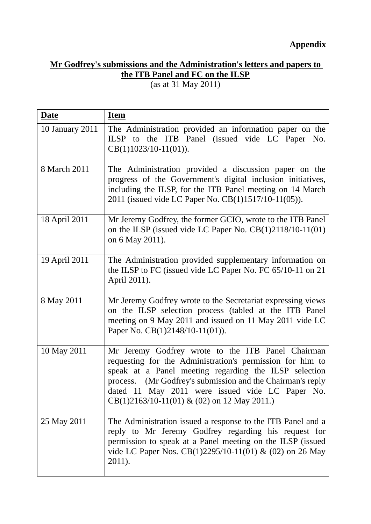# **Appendix**

# **Mr Godfrey's submissions and the Administration's letters and papers to the ITB Panel and FC on the ILSP**

(as at 31 May 2011)

| <b>Date</b>     | <b>Item</b>                                                                                                                                                                                                                                                                                                                                   |
|-----------------|-----------------------------------------------------------------------------------------------------------------------------------------------------------------------------------------------------------------------------------------------------------------------------------------------------------------------------------------------|
| 10 January 2011 | The Administration provided an information paper on the<br>ILSP to the ITB Panel (issued vide LC Paper No.<br>$CB(1)1023/10-11(01)).$                                                                                                                                                                                                         |
| 8 March 2011    | The Administration provided a discussion paper on the<br>progress of the Government's digital inclusion initiatives,<br>including the ILSP, for the ITB Panel meeting on 14 March<br>2011 (issued vide LC Paper No. CB(1)1517/10-11(05)).                                                                                                     |
| 18 April 2011   | Mr Jeremy Godfrey, the former GCIO, wrote to the ITB Panel<br>on the ILSP (issued vide LC Paper No. $CB(1)2118/10-11(01)$ )<br>on 6 May 2011).                                                                                                                                                                                                |
| 19 April 2011   | The Administration provided supplementary information on<br>the ILSP to FC (issued vide LC Paper No. FC 65/10-11 on 21<br>April 2011).                                                                                                                                                                                                        |
| 8 May 2011      | Mr Jeremy Godfrey wrote to the Secretariat expressing views<br>on the ILSP selection process (tabled at the ITB Panel<br>meeting on 9 May 2011 and issued on 11 May 2011 vide LC<br>Paper No. $CB(1)2148/10-11(01)$ .                                                                                                                         |
| 10 May 2011     | Mr Jeremy Godfrey wrote to the ITB Panel Chairman<br>requesting for the Administration's permission for him to<br>speak at a Panel meeting regarding the ILSP selection<br>(Mr Godfrey's submission and the Chairman's reply<br>process.<br>dated 11 May 2011 were issued vide LC Paper No.<br>$CB(1)2163/10-11(01) \& (02)$ on 12 May 2011.) |
| 25 May 2011     | The Administration issued a response to the ITB Panel and a<br>reply to Mr Jeremy Godfrey regarding his request for<br>permission to speak at a Panel meeting on the ILSP (issued<br>vide LC Paper Nos. CB(1)2295/10-11(01) & (02) on 26 May<br>2011).                                                                                        |